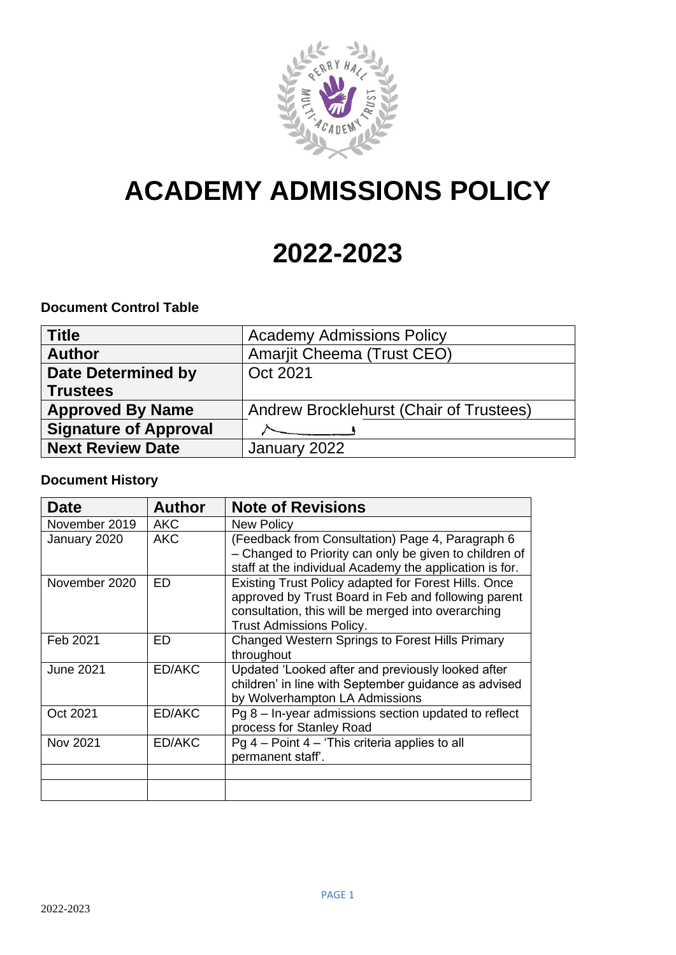

# **ACADEMY ADMISSIONS POLICY**

## **2022-2023**

## **Document Control Table**

| <b>Title</b>                 | <b>Academy Admissions Policy</b>        |
|------------------------------|-----------------------------------------|
| <b>Author</b>                | Amarjit Cheema (Trust CEO)              |
| <b>Date Determined by</b>    | Oct 2021                                |
| <b>Trustees</b>              |                                         |
| <b>Approved By Name</b>      | Andrew Brocklehurst (Chair of Trustees) |
| <b>Signature of Approval</b> |                                         |
| <b>Next Review Date</b>      | January 2022                            |

## **Document History**

| <b>Date</b>      | <b>Author</b> | <b>Note of Revisions</b>                                                                                                                                                                             |
|------------------|---------------|------------------------------------------------------------------------------------------------------------------------------------------------------------------------------------------------------|
| November 2019    | <b>AKC</b>    | <b>New Policy</b>                                                                                                                                                                                    |
| January 2020     | <b>AKC</b>    | (Feedback from Consultation) Page 4, Paragraph 6<br>- Changed to Priority can only be given to children of<br>staff at the individual Academy the application is for.                                |
| November 2020    | ED            | Existing Trust Policy adapted for Forest Hills. Once<br>approved by Trust Board in Feb and following parent<br>consultation, this will be merged into overarching<br><b>Trust Admissions Policy.</b> |
| Feb 2021         | ED            | <b>Changed Western Springs to Forest Hills Primary</b><br>throughout                                                                                                                                 |
| <b>June 2021</b> | ED/AKC        | Updated 'Looked after and previously looked after<br>children' in line with September guidance as advised<br>by Wolverhampton LA Admissions                                                          |
| Oct 2021         | ED/AKC        | $Pg 8 - In-year admissions section updated to reflect$<br>process for Stanley Road                                                                                                                   |
| Nov 2021         | ED/AKC        | Pg $4$ – Point $4$ – 'This criteria applies to all<br>permanent staff'.                                                                                                                              |
|                  |               |                                                                                                                                                                                                      |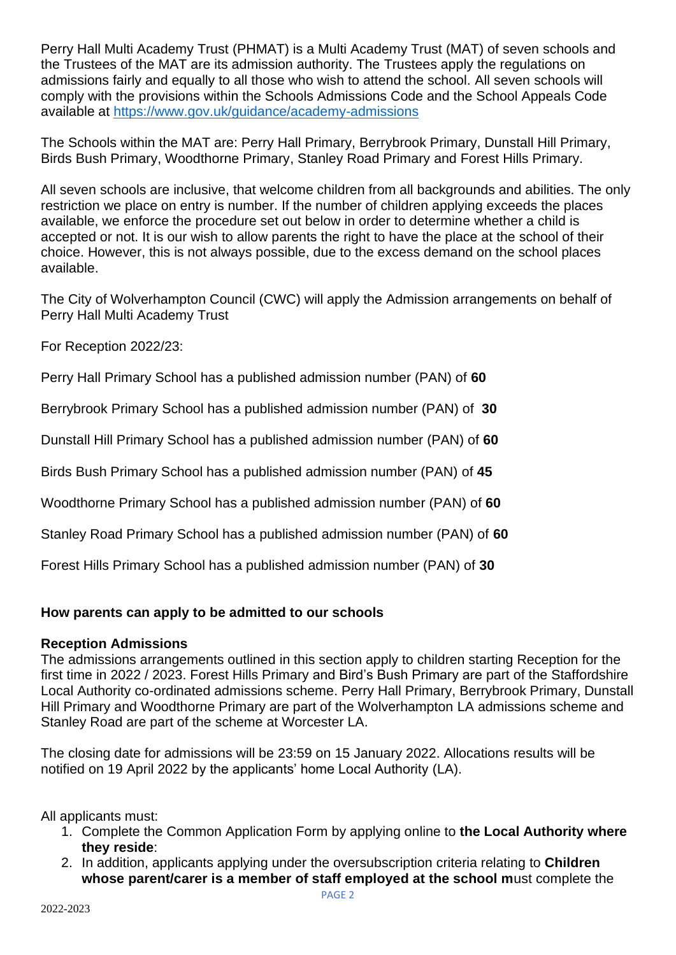Perry Hall Multi Academy Trust (PHMAT) is a Multi Academy Trust (MAT) of seven schools and the Trustees of the MAT are its admission authority. The Trustees apply the regulations on admissions fairly and equally to all those who wish to attend the school. All seven schools will comply with the provisions within the Schools Admissions Code and the School Appeals Code available at<https://www.gov.uk/guidance/academy-admissions>

The Schools within the MAT are: Perry Hall Primary, Berrybrook Primary, Dunstall Hill Primary, Birds Bush Primary, Woodthorne Primary, Stanley Road Primary and Forest Hills Primary.

All seven schools are inclusive, that welcome children from all backgrounds and abilities. The only restriction we place on entry is number. If the number of children applying exceeds the places available, we enforce the procedure set out below in order to determine whether a child is accepted or not. It is our wish to allow parents the right to have the place at the school of their choice. However, this is not always possible, due to the excess demand on the school places available.

The City of Wolverhampton Council (CWC) will apply the Admission arrangements on behalf of Perry Hall Multi Academy Trust

For Reception 2022/23:

Perry Hall Primary School has a published admission number (PAN) of **60**

Berrybrook Primary School has a published admission number (PAN) of **30**

Dunstall Hill Primary School has a published admission number (PAN) of **60**

Birds Bush Primary School has a published admission number (PAN) of **45**

Woodthorne Primary School has a published admission number (PAN) of **60**

Stanley Road Primary School has a published admission number (PAN) of **60**

Forest Hills Primary School has a published admission number (PAN) of **30**

## **How parents can apply to be admitted to our schools**

## **Reception Admissions**

The admissions arrangements outlined in this section apply to children starting Reception for the first time in 2022 / 2023. Forest Hills Primary and Bird's Bush Primary are part of the Staffordshire Local Authority co-ordinated admissions scheme. Perry Hall Primary, Berrybrook Primary, Dunstall Hill Primary and Woodthorne Primary are part of the Wolverhampton LA admissions scheme and Stanley Road are part of the scheme at Worcester LA.

The closing date for admissions will be 23:59 on 15 January 2022. Allocations results will be notified on 19 April 2022 by the applicants' home Local Authority (LA).

All applicants must:

- 1. Complete the Common Application Form by applying online to **the Local Authority where they reside**:
- 2. In addition, applicants applying under the oversubscription criteria relating to **Children whose parent/carer is a member of staff employed at the school m**ust complete the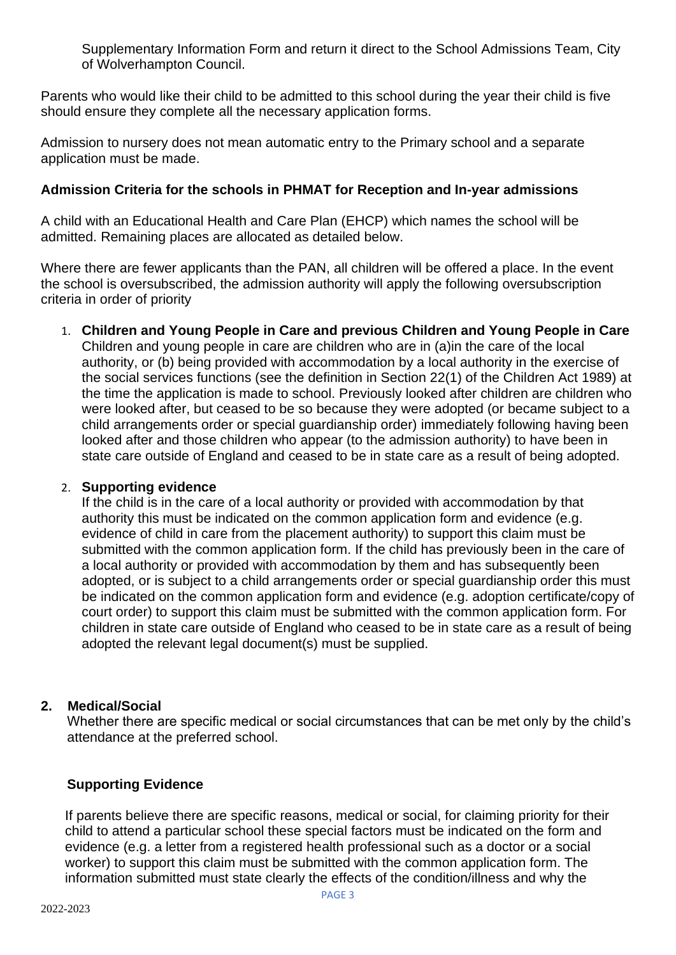Supplementary Information Form and return it direct to the School Admissions Team, City of Wolverhampton Council.

Parents who would like their child to be admitted to this school during the year their child is five should ensure they complete all the necessary application forms.

Admission to nursery does not mean automatic entry to the Primary school and a separate application must be made.

## **Admission Criteria for the schools in PHMAT for Reception and In-year admissions**

A child with an Educational Health and Care Plan (EHCP) which names the school will be admitted. Remaining places are allocated as detailed below.

Where there are fewer applicants than the PAN, all children will be offered a place. In the event the school is oversubscribed, the admission authority will apply the following oversubscription criteria in order of priority

1. **Children and Young People in Care and previous Children and Young People in Care** Children and young people in care are children who are in (a)in the care of the local authority, or (b) being provided with accommodation by a local authority in the exercise of the social services functions (see the definition in Section 22(1) of the Children Act 1989) at the time the application is made to school. Previously looked after children are children who were looked after, but ceased to be so because they were adopted (or became subject to a child arrangements order or special guardianship order) immediately following having been looked after and those children who appear (to the admission authority) to have been in state care outside of England and ceased to be in state care as a result of being adopted.

## 2. **Supporting evidence**

If the child is in the care of a local authority or provided with accommodation by that authority this must be indicated on the common application form and evidence (e.g. evidence of child in care from the placement authority) to support this claim must be submitted with the common application form. If the child has previously been in the care of a local authority or provided with accommodation by them and has subsequently been adopted, or is subject to a child arrangements order or special guardianship order this must be indicated on the common application form and evidence (e.g. adoption certificate/copy of court order) to support this claim must be submitted with the common application form. For children in state care outside of England who ceased to be in state care as a result of being adopted the relevant legal document(s) must be supplied.

## **2. Medical/Social**

Whether there are specific medical or social circumstances that can be met only by the child's attendance at the preferred school.

## **Supporting Evidence**

If parents believe there are specific reasons, medical or social, for claiming priority for their child to attend a particular school these special factors must be indicated on the form and evidence (e.g. a letter from a registered health professional such as a doctor or a social worker) to support this claim must be submitted with the common application form. The information submitted must state clearly the effects of the condition/illness and why the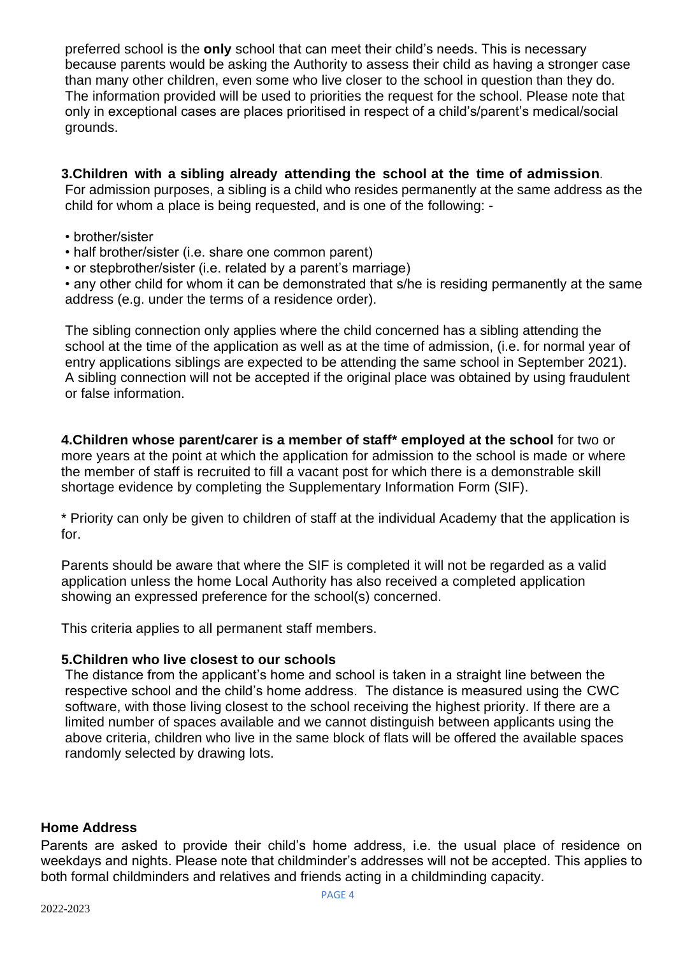preferred school is the **only** school that can meet their child's needs. This is necessary because parents would be asking the Authority to assess their child as having a stronger case than many other children, even some who live closer to the school in question than they do. The information provided will be used to priorities the request for the school. Please note that only in exceptional cases are places prioritised in respect of a child's/parent's medical/social grounds.

## **3.Children with a sibling already attending the school at the time of admission**.

For admission purposes, a sibling is a child who resides permanently at the same address as the child for whom a place is being requested, and is one of the following: -

- brother/sister
- half brother/sister (i.e. share one common parent)
- or stepbrother/sister (i.e. related by a parent's marriage)

• any other child for whom it can be demonstrated that s/he is residing permanently at the same address (e.g. under the terms of a residence order).

The sibling connection only applies where the child concerned has a sibling attending the school at the time of the application as well as at the time of admission, (i.e. for normal year of entry applications siblings are expected to be attending the same school in September 2021). A sibling connection will not be accepted if the original place was obtained by using fraudulent or false information.

**4.Children whose parent/carer is a member of staff\* employed at the school** for two or more years at the point at which the application for admission to the school is made or where the member of staff is recruited to fill a vacant post for which there is a demonstrable skill shortage evidence by completing the Supplementary Information Form (SIF).

\* Priority can only be given to children of staff at the individual Academy that the application is for.

Parents should be aware that where the SIF is completed it will not be regarded as a valid application unless the home Local Authority has also received a completed application showing an expressed preference for the school(s) concerned.

This criteria applies to all permanent staff members.

## **5.Children who live closest to our schools**

The distance from the applicant's home and school is taken in a straight line between the respective school and the child's home address. The distance is measured using the CWC software, with those living closest to the school receiving the highest priority. If there are a limited number of spaces available and we cannot distinguish between applicants using the above criteria, children who live in the same block of flats will be offered the available spaces randomly selected by drawing lots.

## **Home Address**

Parents are asked to provide their child's home address, i.e. the usual place of residence on weekdays and nights. Please note that childminder's addresses will not be accepted. This applies to both formal childminders and relatives and friends acting in a childminding capacity.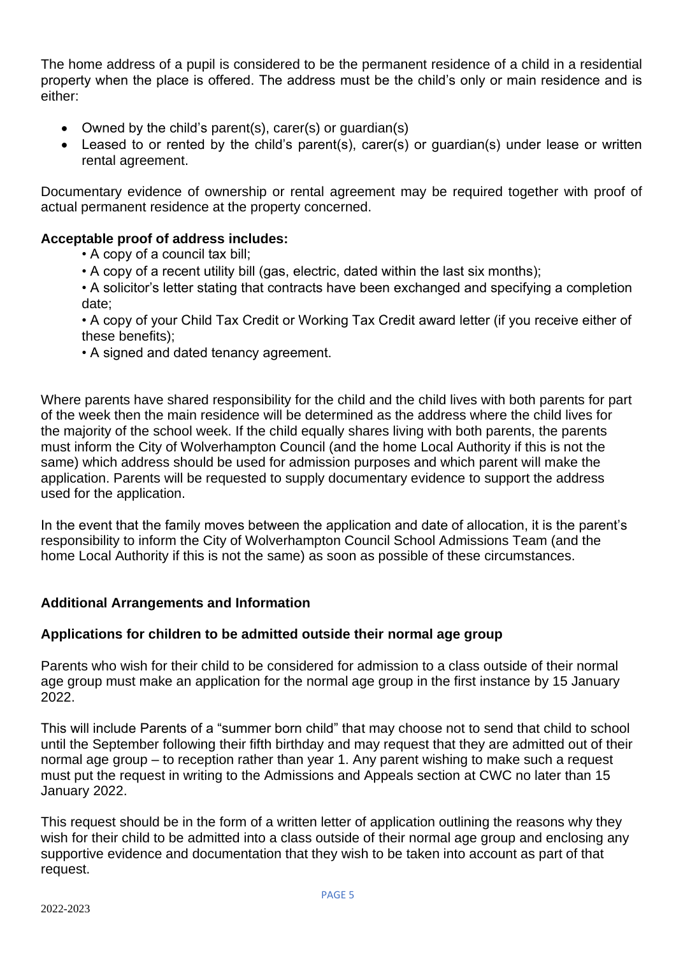The home address of a pupil is considered to be the permanent residence of a child in a residential property when the place is offered. The address must be the child's only or main residence and is either:

- Owned by the child's parent(s), carer(s) or guardian(s)
- Leased to or rented by the child's parent(s), carer(s) or guardian(s) under lease or written rental agreement.

Documentary evidence of ownership or rental agreement may be required together with proof of actual permanent residence at the property concerned.

## **Acceptable proof of address includes:**

- A copy of a council tax bill;
- A copy of a recent utility bill (gas, electric, dated within the last six months);
- A solicitor's letter stating that contracts have been exchanged and specifying a completion date;
- A copy of your Child Tax Credit or Working Tax Credit award letter (if you receive either of these benefits);
- A signed and dated tenancy agreement.

Where parents have shared responsibility for the child and the child lives with both parents for part of the week then the main residence will be determined as the address where the child lives for the majority of the school week. If the child equally shares living with both parents, the parents must inform the City of Wolverhampton Council (and the home Local Authority if this is not the same) which address should be used for admission purposes and which parent will make the application. Parents will be requested to supply documentary evidence to support the address used for the application.

In the event that the family moves between the application and date of allocation, it is the parent's responsibility to inform the City of Wolverhampton Council School Admissions Team (and the home Local Authority if this is not the same) as soon as possible of these circumstances.

## **Additional Arrangements and Information**

## **Applications for children to be admitted outside their normal age group**

Parents who wish for their child to be considered for admission to a class outside of their normal age group must make an application for the normal age group in the first instance by 15 January 2022.

This will include Parents of a "summer born child" that may choose not to send that child to school until the September following their fifth birthday and may request that they are admitted out of their normal age group – to reception rather than year 1. Any parent wishing to make such a request must put the request in writing to the Admissions and Appeals section at CWC no later than 15 January 2022.

This request should be in the form of a written letter of application outlining the reasons why they wish for their child to be admitted into a class outside of their normal age group and enclosing any supportive evidence and documentation that they wish to be taken into account as part of that request.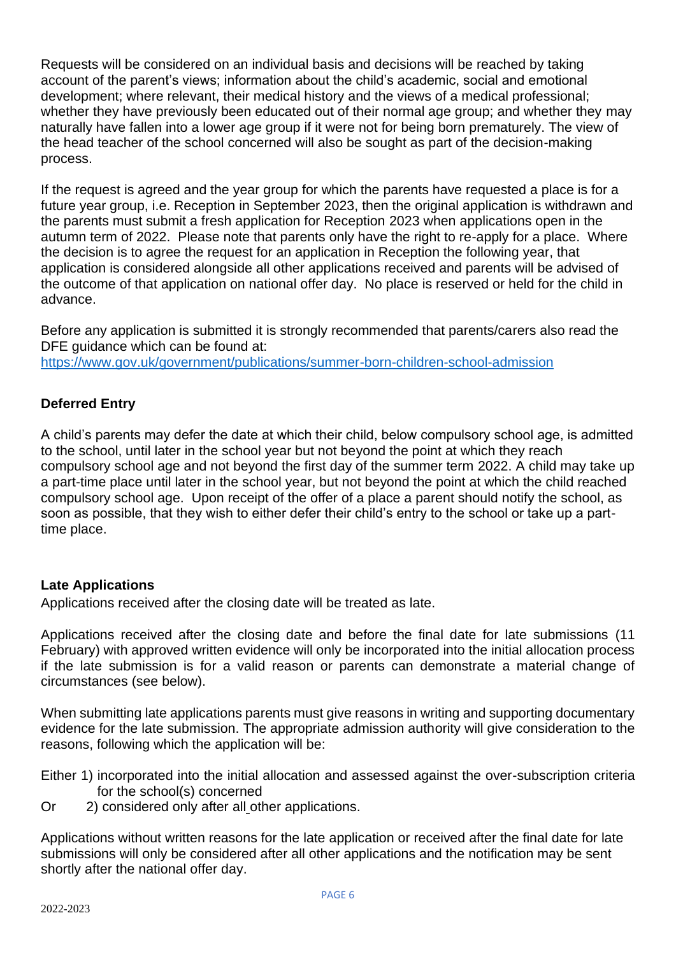Requests will be considered on an individual basis and decisions will be reached by taking account of the parent's views; information about the child's academic, social and emotional development; where relevant, their medical history and the views of a medical professional; whether they have previously been educated out of their normal age group; and whether they may naturally have fallen into a lower age group if it were not for being born prematurely. The view of the head teacher of the school concerned will also be sought as part of the decision-making process.

If the request is agreed and the year group for which the parents have requested a place is for a future year group, i.e. Reception in September 2023, then the original application is withdrawn and the parents must submit a fresh application for Reception 2023 when applications open in the autumn term of 2022. Please note that parents only have the right to re-apply for a place. Where the decision is to agree the request for an application in Reception the following year, that application is considered alongside all other applications received and parents will be advised of the outcome of that application on national offer day. No place is reserved or held for the child in advance.

Before any application is submitted it is strongly recommended that parents/carers also read the DFE quidance which can be found at: <https://www.gov.uk/government/publications/summer-born-children-school-admission>

## **Deferred Entry**

A child's parents may defer the date at which their child, below compulsory school age, is admitted to the school, until later in the school year but not beyond the point at which they reach compulsory school age and not beyond the first day of the summer term 2022. A child may take up a part-time place until later in the school year, but not beyond the point at which the child reached compulsory school age. Upon receipt of the offer of a place a parent should notify the school, as soon as possible, that they wish to either defer their child's entry to the school or take up a parttime place.

## **Late Applications**

Applications received after the closing date will be treated as late.

Applications received after the closing date and before the final date for late submissions (11 February) with approved written evidence will only be incorporated into the initial allocation process if the late submission is for a valid reason or parents can demonstrate a material change of circumstances (see below).

When submitting late applications parents must give reasons in writing and supporting documentary evidence for the late submission. The appropriate admission authority will give consideration to the reasons, following which the application will be:

- Either 1) incorporated into the initial allocation and assessed against the over-subscription criteria for the school(s) concerned
- Or 2) considered only after all other applications.

Applications without written reasons for the late application or received after the final date for late submissions will only be considered after all other applications and the notification may be sent shortly after the national offer day.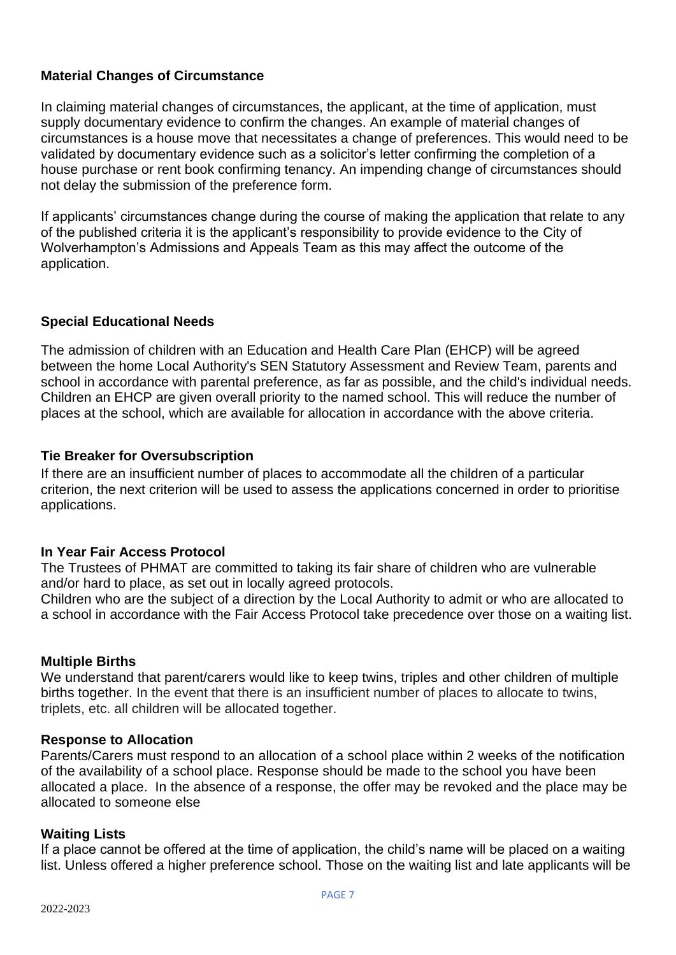## **Material Changes of Circumstance**

In claiming material changes of circumstances, the applicant, at the time of application, must supply documentary evidence to confirm the changes. An example of material changes of circumstances is a house move that necessitates a change of preferences. This would need to be validated by documentary evidence such as a solicitor's letter confirming the completion of a house purchase or rent book confirming tenancy. An impending change of circumstances should not delay the submission of the preference form.

If applicants' circumstances change during the course of making the application that relate to any of the published criteria it is the applicant's responsibility to provide evidence to the City of Wolverhampton's Admissions and Appeals Team as this may affect the outcome of the application.

## **Special Educational Needs**

The admission of children with an Education and Health Care Plan (EHCP) will be agreed between the home Local Authority's SEN Statutory Assessment and Review Team, parents and school in accordance with parental preference, as far as possible, and the child's individual needs. Children an EHCP are given overall priority to the named school. This will reduce the number of places at the school, which are available for allocation in accordance with the above criteria.

## **Tie Breaker for Oversubscription**

If there are an insufficient number of places to accommodate all the children of a particular criterion, the next criterion will be used to assess the applications concerned in order to prioritise applications.

## **In Year Fair Access Protocol**

The Trustees of PHMAT are committed to taking its fair share of children who are vulnerable and/or hard to place, as set out in locally agreed protocols.

Children who are the subject of a direction by the Local Authority to admit or who are allocated to a school in accordance with the Fair Access Protocol take precedence over those on a waiting list.

## **Multiple Births**

We understand that parent/carers would like to keep twins, triples and other children of multiple births together. In the event that there is an insufficient number of places to allocate to twins, triplets, etc. all children will be allocated together.

## **Response to Allocation**

Parents/Carers must respond to an allocation of a school place within 2 weeks of the notification of the availability of a school place. Response should be made to the school you have been allocated a place. In the absence of a response, the offer may be revoked and the place may be allocated to someone else

## **Waiting Lists**

If a place cannot be offered at the time of application, the child's name will be placed on a waiting list. Unless offered a higher preference school. Those on the waiting list and late applicants will be